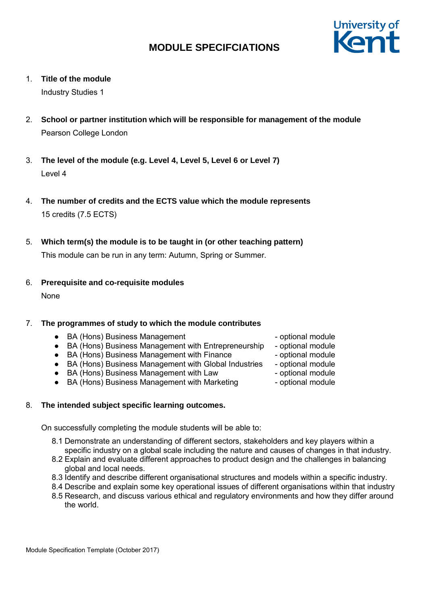

1. **Title of the module**

Industry Studies 1

- 2. **School or partner institution which will be responsible for management of the module** Pearson College London
- 3. **The level of the module (e.g. Level 4, Level 5, Level 6 or Level 7)** Level 4
- 4. **The number of credits and the ECTS value which the module represents** 15 credits (7.5 ECTS)
- 5. **Which term(s) the module is to be taught in (or other teaching pattern)**

This module can be run in any term: Autumn, Spring or Summer.

6. **Prerequisite and co-requisite modules**

None

## 7. **The programmes of study to which the module contributes**

- BA (Hons) Business Management and the optional module
- BA (Hons) Business Management with Entrepreneurship optional module
- BA (Hons) Business Management with Finance optional module
- BA (Hons) Business Management with Global Industries optional module
- BA (Hons) Business Management with Law optional module
- BA (Hons) Business Management with Marketing optional module
- 8. **The intended subject specific learning outcomes.**

On successfully completing the module students will be able to:

- 8.1 Demonstrate an understanding of different sectors, stakeholders and key players within a specific industry on a global scale including the nature and causes of changes in that industry.
- 8.2 Explain and evaluate different approaches to product design and the challenges in balancing global and local needs.
- 8.3 Identify and describe different organisational structures and models within a specific industry.
- 8.4 Describe and explain some key operational issues of different organisations within that industry
- 8.5 Research, and discuss various ethical and regulatory environments and how they differ around the world.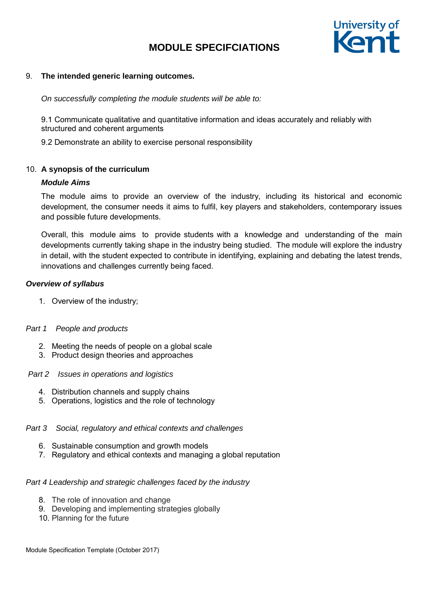

#### 9. **The intended generic learning outcomes.**

*On successfully completing the module students will be able to:*

9.1 Communicate qualitative and quantitative information and ideas accurately and reliably with structured and coherent arguments

9.2 Demonstrate an ability to exercise personal responsibility

### 10. **A synopsis of the curriculum**

### *Module Aims*

The module aims to provide an overview of the industry, including its historical and economic development, the consumer needs it aims to fulfil, key players and stakeholders, contemporary issues and possible future developments.

Overall, this module aims to provide students with a knowledge and understanding of the main developments currently taking shape in the industry being studied. The module will explore the industry in detail, with the student expected to contribute in identifying, explaining and debating the latest trends, innovations and challenges currently being faced.

## *Overview of syllabus*

1. Overview of the industry;

## *Part 1 People and products*

- 2. Meeting the needs of people on a global scale
- 3. Product design theories and approaches

#### *Part 2 Issues in operations and logistics*

- 4. Distribution channels and supply chains
- 5. Operations, logistics and the role of technology

#### *Part 3 Social, regulatory and ethical contexts and challenges*

- 6. Sustainable consumption and growth models
- 7. Regulatory and ethical contexts and managing a global reputation

#### *Part 4 Leadership and strategic challenges faced by the industry*

- 8. The role of innovation and change
- 9. Developing and implementing strategies globally
- 10. Planning for the future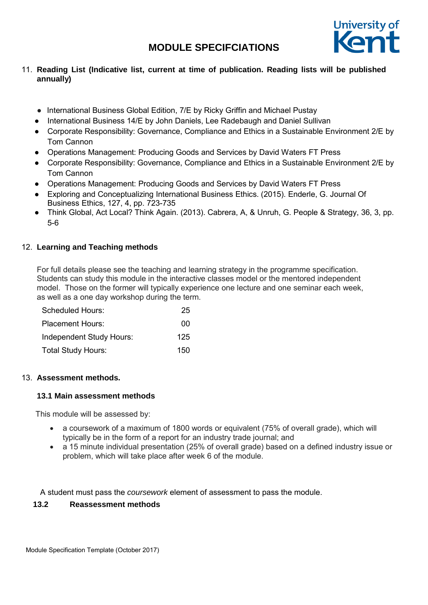

## 11. **Reading List (Indicative list, current at time of publication. Reading lists will be published annually)**

- International Business Global Edition, 7/E by Ricky Griffin and Michael Pustay
- International Business 14/E by John Daniels, Lee Radebaugh and Daniel Sullivan
- Corporate Responsibility: Governance, Compliance and Ethics in a Sustainable Environment 2/E by Tom Cannon
- Operations Management: Producing Goods and Services by David Waters FT Press
- Corporate Responsibility: Governance, Compliance and Ethics in a Sustainable Environment 2/E by Tom Cannon
- Operations Management: Producing Goods and Services by David Waters FT Press
- Exploring and Conceptualizing International Business Ethics. (2015). Enderle, G. Journal Of Business Ethics, 127, 4, pp. 723-735
- Think Global, Act Local? Think Again. (2013). Cabrera, A, & Unruh, G. People & Strategy, 36, 3, pp. 5-6

## 12. **Learning and Teaching methods**

For full details please see the teaching and learning strategy in the programme specification. Students can study this module in the interactive classes model or the mentored independent model. Those on the former will typically experience one lecture and one seminar each week, as well as a one day workshop during the term.

| Scheduled Hours:          | 25  |
|---------------------------|-----|
| <b>Placement Hours:</b>   | 00  |
| Independent Study Hours:  | 125 |
| <b>Total Study Hours:</b> | 150 |

## 13. **Assessment methods.**

## **13.1 Main assessment methods**

This module will be assessed by:

- a coursework of a maximum of 1800 words or equivalent (75% of overall grade), which will typically be in the form of a report for an industry trade journal; and
- a 15 minute individual presentation (25% of overall grade) based on a defined industry issue or problem, which will take place after week 6 of the module.

A student must pass the *coursework* element of assessment to pass the module.

## **13.2 Reassessment methods**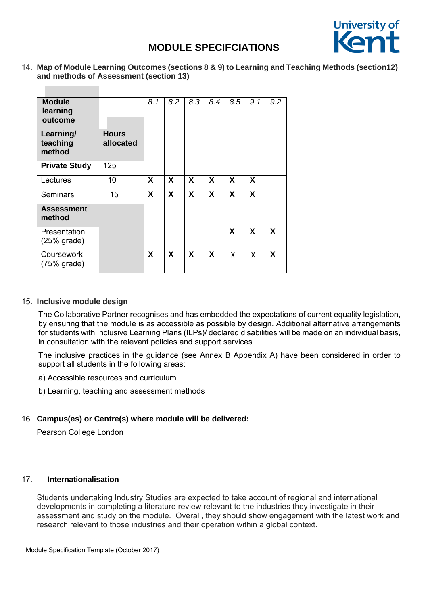

14. **Map of Module Learning Outcomes (sections 8 & 9) to Learning and Teaching Methods (section12) and methods of Assessment (section 13)** 

| <b>Module</b><br>learning<br>outcome |                           | 8.1 | 8.2 | 8.3                       | 8.4                       | 8.5 | 9.1                       | 9.2 |
|--------------------------------------|---------------------------|-----|-----|---------------------------|---------------------------|-----|---------------------------|-----|
| Learning/<br>teaching<br>method      | <b>Hours</b><br>allocated |     |     |                           |                           |     |                           |     |
| <b>Private Study</b>                 | 125                       |     |     |                           |                           |     |                           |     |
| Lectures                             | 10                        | X   | X   | $\boldsymbol{\mathsf{X}}$ | $\boldsymbol{\mathsf{X}}$ | X   | $\boldsymbol{\mathsf{X}}$ |     |
| Seminars                             | 15                        | X   | X   | $\boldsymbol{\mathsf{X}}$ | $\boldsymbol{\mathsf{X}}$ | X   | $\boldsymbol{\mathsf{X}}$ |     |
| <b>Assessment</b><br>method          |                           |     |     |                           |                           |     |                           |     |
| Presentation<br>$(25%$ grade)        |                           |     |     |                           |                           | X   | X                         | X   |
| Coursework<br>$(75%$ grade)          |                           | X   | X   | X                         | X                         | X   | X                         | X   |

#### 15. **Inclusive module design**

The Collaborative Partner recognises and has embedded the expectations of current equality legislation, by ensuring that the module is as accessible as possible by design. Additional alternative arrangements for students with Inclusive Learning Plans (ILPs)/ declared disabilities will be made on an individual basis, in consultation with the relevant policies and support services.

The inclusive practices in the guidance (see Annex B Appendix A) have been considered in order to support all students in the following areas:

a) Accessible resources and curriculum

b) Learning, teaching and assessment methods

## 16. **Campus(es) or Centre(s) where module will be delivered:**

Pearson College London

## 17. **Internationalisation**

Students undertaking Industry Studies are expected to take account of regional and international developments in completing a literature review relevant to the industries they investigate in their assessment and study on the module. Overall, they should show engagement with the latest work and research relevant to those industries and their operation within a global context.